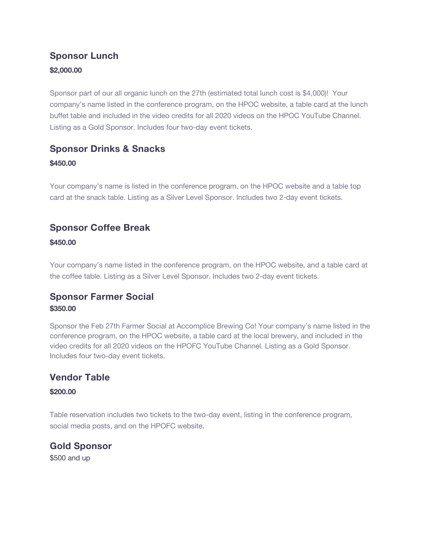## **Sponsor Lunch \$2,000.00**

Sponsor part of our all organic lunch on the 27th (estimated total lunch cost is \$4,000)! Your company's name listed in the conference program, on the HPOC website, a table card at the lunch buffet table and included in the video credits for all 2020 videos on the HPOC YouTube Channel. Listing as a Gold Sponsor. Includes four two-day event tickets.

## **Sponsor Drinks & Snacks**

#### **\$450.00**

Your company's name is listed in the conference program, on the HPOC website and a table top card at the snack table. Listing as a Silver Level Sponsor. Includes two 2-day event tickets.

### **Sponsor Coffee Break**

#### **\$450.00**

Your company's name listed in the conference program, on the HPOC website, and a table card at the coffee table. Listing as a Silver Level Sponsor. Includes two 2-day event tickets.

### **Sponsor Farmer Social \$350.00**

Sponsor the Feb 27th Farmer Social at Accomplice Brewing Co! Your company's name listed in the conference program, on the HPOC website, a table card at the local brewery, and included in the video credits for all 2020 videos on the HPOFC YouTube Channel. Listing as a Gold Sponsor. Includes four two-day event tickets.

## **Vendor Table**

#### **\$200.00**

Table reservation includes two tickets to the two-day event, listing in the conference program, social media posts, and on the HPOFC website.

**Gold Sponsor** \$500 and up